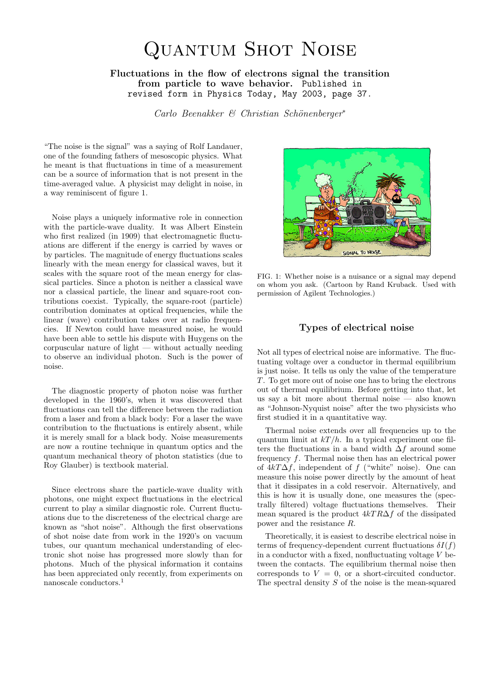# Quantum Shot Noise

Fluctuations in the flow of electrons signal the transition from particle to wave behavior. Published in revised form in Physics Today, May 2003, page 37.

Carlo Beenakker & Christian Schönenberger\*

"The noise is the signal" was a saying of Rolf Landauer, one of the founding fathers of mesoscopic physics. What he meant is that fluctuations in time of a measurement can be a source of information that is not present in the time-averaged value. A physicist may delight in noise, in a way reminiscent of figure 1.

Noise plays a uniquely informative role in connection with the particle-wave duality. It was Albert Einstein who first realized (in 1909) that electromagnetic fluctuations are different if the energy is carried by waves or by particles. The magnitude of energy fluctuations scales linearly with the mean energy for classical waves, but it scales with the square root of the mean energy for classical particles. Since a photon is neither a classical wave nor a classical particle, the linear and square-root contributions coexist. Typically, the square-root (particle) contribution dominates at optical frequencies, while the linear (wave) contribution takes over at radio frequencies. If Newton could have measured noise, he would have been able to settle his dispute with Huygens on the corpuscular nature of light — without actually needing to observe an individual photon. Such is the power of noise.

The diagnostic property of photon noise was further developed in the 1960's, when it was discovered that fluctuations can tell the difference between the radiation from a laser and from a black body: For a laser the wave contribution to the fluctuations is entirely absent, while it is merely small for a black body. Noise measurements are now a routine technique in quantum optics and the quantum mechanical theory of photon statistics (due to Roy Glauber) is textbook material.

Since electrons share the particle-wave duality with photons, one might expect fluctuations in the electrical current to play a similar diagnostic role. Current fluctuations due to the discreteness of the electrical charge are known as "shot noise". Although the first observations of shot noise date from work in the 1920's on vacuum tubes, our quantum mechanical understanding of electronic shot noise has progressed more slowly than for photons. Much of the physical information it contains has been appreciated only recently, from experiments on nanoscale conductors.<sup>1</sup>



FIG. 1: Whether noise is a nuisance or a signal may depend on whom you ask. (Cartoon by Rand Kruback. Used with permission of Agilent Technologies.)

### Types of electrical noise

Not all types of electrical noise are informative. The fluctuating voltage over a conductor in thermal equilibrium is just noise. It tells us only the value of the temperature T. To get more out of noise one has to bring the electrons out of thermal equilibrium. Before getting into that, let us say a bit more about thermal noise — also known as "Johnson-Nyquist noise" after the two physicists who first studied it in a quantitative way.

Thermal noise extends over all frequencies up to the quantum limit at  $kT/h$ . In a typical experiment one filters the fluctuations in a band width  $\Delta f$  around some frequency f. Thermal noise then has an electrical power of  $4kT\Delta f$ , independent of f ("white" noise). One can measure this noise power directly by the amount of heat that it dissipates in a cold reservoir. Alternatively, and this is how it is usually done, one measures the (spectrally filtered) voltage fluctuations themselves. Their mean squared is the product  $4kTR\Delta f$  of the dissipated power and the resistance R.

Theoretically, it is easiest to describe electrical noise in terms of frequency-dependent current fluctuations  $\delta I(f)$ in a conductor with a fixed, nonfluctuating voltage  $V$  between the contacts. The equilibrium thermal noise then corresponds to  $V = 0$ , or a short-circuited conductor. The spectral density  $S$  of the noise is the mean-squared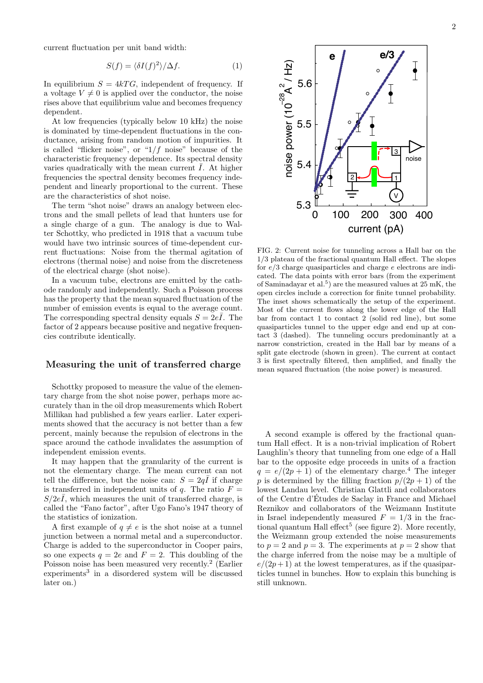current fluctuation per unit band width:

$$
S(f) = \langle \delta I(f)^2 \rangle / \Delta f. \tag{1}
$$

In equilibrium  $S = 4kTG$ , independent of frequency. If a voltage  $V \neq 0$  is applied over the conductor, the noise rises above that equilibrium value and becomes frequency dependent.

At low frequencies (typically below 10 kHz) the noise is dominated by time-dependent fluctuations in the conductance, arising from random motion of impurities. It is called "flicker noise", or " $1/f$  noise" because of the characteristic frequency dependence. Its spectral density varies quadratically with the mean current  $\overline{I}$ . At higher frequencies the spectral density becomes frequency independent and linearly proportional to the current. These are the characteristics of shot noise.

The term "shot noise" draws an analogy between electrons and the small pellets of lead that hunters use for a single charge of a gun. The analogy is due to Walter Schottky, who predicted in 1918 that a vacuum tube would have two intrinsic sources of time-dependent current fluctuations: Noise from the thermal agitation of electrons (thermal noise) and noise from the discreteness of the electrical charge (shot noise).

In a vacuum tube, electrons are emitted by the cathode randomly and independently. Such a Poisson process has the property that the mean squared fluctuation of the number of emission events is equal to the average count. The corresponding spectral density equals  $S = 2e\overline{I}$ . The factor of 2 appears because positive and negative frequencies contribute identically.

## Measuring the unit of transferred charge

Schottky proposed to measure the value of the elementary charge from the shot noise power, perhaps more accurately than in the oil drop measurements which Robert Millikan had published a few years earlier. Later experiments showed that the accuracy is not better than a few percent, mainly because the repulsion of electrons in the space around the cathode invalidates the assumption of independent emission events.

It may happen that the granularity of the current is not the elementary charge. The mean current can not tell the difference, but the noise can:  $S = 2q\bar{I}$  if charge is transferred in independent units of q. The ratio  $F =$  $S/2e\overline{I}$ , which measures the unit of transferred charge, is called the "Fano factor", after Ugo Fano's 1947 theory of the statistics of ionization.

A first example of  $q \neq e$  is the shot noise at a tunnel junction between a normal metal and a superconductor. Charge is added to the superconductor in Cooper pairs, so one expects  $q = 2e$  and  $F = 2$ . This doubling of the Poisson noise has been measured very recently.<sup>2</sup> (Earlier experiments<sup>3</sup> in a disordered system will be discussed later on.)



A second example is offered by the fractional quantum Hall effect. It is a non-trivial implication of Robert Laughlin's theory that tunneling from one edge of a Hall bar to the opposite edge proceeds in units of a fraction  $q = e/(2p + 1)$  of the elementary charge.<sup>4</sup> The integer p is determined by the filling fraction  $p/(2p+1)$  of the lowest Landau level. Christian Glattli and collaborators of the Centre d'Etudes de Saclay in France and Michael ´ Reznikov and collaborators of the Weizmann Institute in Israel independently measured  $F = 1/3$  in the fractional quantum Hall effect<sup>5</sup> (see figure 2). More recently, the Weizmann group extended the noise measurements to  $p = 2$  and  $p = 3$ . The experiments at  $p = 2$  show that the charge inferred from the noise may be a multiple of  $e/(2p+1)$  at the lowest temperatures, as if the quasiparticles tunnel in bunches. How to explain this bunching is still unknown.

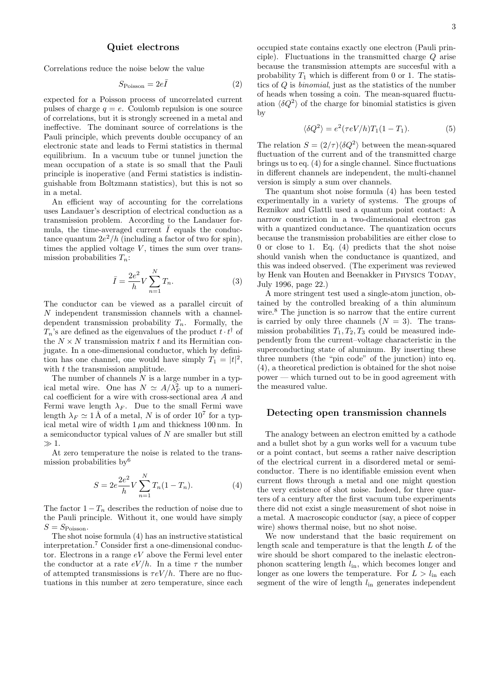#### Quiet electrons

Correlations reduce the noise below the value

$$
S_{\text{Poisson}} = 2e\bar{I} \tag{2}
$$

expected for a Poisson process of uncorrelated current pulses of charge  $q = e$ . Coulomb repulsion is one source of correlations, but it is strongly screened in a metal and ineffective. The dominant source of correlations is the Pauli principle, which prevents double occupancy of an electronic state and leads to Fermi statistics in thermal equilibrium. In a vacuum tube or tunnel junction the mean occupation of a state is so small that the Pauli principle is inoperative (and Fermi statistics is indistinguishable from Boltzmann statistics), but this is not so in a metal.

An efficient way of accounting for the correlations uses Landauer's description of electrical conduction as a transmission problem. According to the Landauer formula, the time-averaged current  $\overline{I}$  equals the conductance quantum  $2e^2/h$  (including a factor of two for spin), times the applied voltage  $V$ , times the sum over transmission probabilities  $T_n$ :

$$
\bar{I} = \frac{2e^2}{h} V \sum_{n=1}^{N} T_n.
$$
 (3)

The conductor can be viewed as a parallel circuit of  $N$  independent transmission channels with a channeldependent transmission probability  $T_n$ . Formally, the  $T_n$ 's are defined as the eigenvalues of the product  $t \cdot t^{\dagger}$  of the  $N \times N$  transmission matrix t and its Hermitian conjugate. In a one-dimensional conductor, which by definition has one channel, one would have simply  $T_1 = |t|^2$ , with  $t$  the transmission amplitude.

The number of channels  $N$  is a large number in a typical metal wire. One has  $N \simeq A/\lambda_F^2$  up to a numerical coefficient for a wire with cross-sectional area A and Fermi wave length  $\lambda_F$ . Due to the small Fermi wave length  $\lambda_F \simeq 1 \,\text{\AA}$  of a metal, N is of order  $10^7$  for a typical metal wire of width  $1 \mu m$  and thickness 100 nm. In a semiconductor typical values of N are smaller but still  $\gg 1$ .

At zero temperature the noise is related to the transmission probabilities by<sup>6</sup>

$$
S = 2e^{\frac{2e^2}{h}} V \sum_{n=1}^{N} T_n (1 - T_n).
$$
 (4)

The factor  $1 - T_n$  describes the reduction of noise due to the Pauli principle. Without it, one would have simply  $S = S_{\text{Poisson}}$ .

The shot noise formula (4) has an instructive statistical interpretation.<sup>7</sup> Consider first a one-dimensional conductor. Electrons in a range  $eV$  above the Fermi level enter the conductor at a rate  $eV/h$ . In a time  $\tau$  the number of attempted transmissions is  $\tau eV/h$ . There are no fluctuations in this number at zero temperature, since each

3

occupied state contains exactly one electron (Pauli principle). Fluctuations in the transmitted charge Q arise because the transmission attempts are succesful with a probability  $T_1$  which is different from 0 or 1. The statistics of Q is binomial, just as the statistics of the number of heads when tossing a coin. The mean-squared fluctuation  $\langle \delta Q^2 \rangle$  of the charge for binomial statistics is given by

$$
\langle \delta Q^2 \rangle = e^2(\tau eV/h)T_1(1 - T_1). \tag{5}
$$

The relation  $S = (2/\tau) \langle \delta Q^2 \rangle$  between the mean-squared fluctuation of the current and of the transmitted charge brings us to eq. (4) for a single channel. Since fluctuations in different channels are independent, the multi-channel version is simply a sum over channels.

The quantum shot noise formula (4) has been tested experimentally in a variety of systems. The groups of Reznikov and Glattli used a quantum point contact: A narrow constriction in a two-dimensional electron gas with a quantized conductance. The quantization occurs because the transmission probabilities are either close to 0 or close to 1. Eq. (4) predicts that the shot noise should vanish when the conductance is quantized, and this was indeed observed. (The experiment was reviewed by Henk van Houten and Beenakker in PHYSICS TODAY, July 1996, page 22.)

A more stringent test used a single-atom junction, obtained by the controlled breaking of a thin aluminum wire.<sup>8</sup> The junction is so narrow that the entire current is carried by only three channels  $(N = 3)$ . The transmission probabilities  $T_1, T_2, T_3$  could be measured independently from the current–voltage characteristic in the superconducting state of aluminum. By inserting these three numbers (the "pin code" of the junction) into eq. (4), a theoretical prediction is obtained for the shot noise power — which turned out to be in good agreement with the measured value.

## Detecting open transmission channels

The analogy between an electron emitted by a cathode and a bullet shot by a gun works well for a vacuum tube or a point contact, but seems a rather naive description of the electrical current in a disordered metal or semiconductor. There is no identifiable emission event when current flows through a metal and one might question the very existence of shot noise. Indeed, for three quarters of a century after the first vacuum tube experiments there did not exist a single measurement of shot noise in a metal. A macroscopic conductor (say, a piece of copper wire) shows thermal noise, but no shot noise.

We now understand that the basic requirement on length scale and temperature is that the length L of the wire should be short compared to the inelastic electronphonon scattering length  $l_{\text{in}}$ , which becomes longer and longer as one lowers the temperature. For  $L > l_{\text{in}}$  each segment of the wire of length  $l_{\text{in}}$  generates independent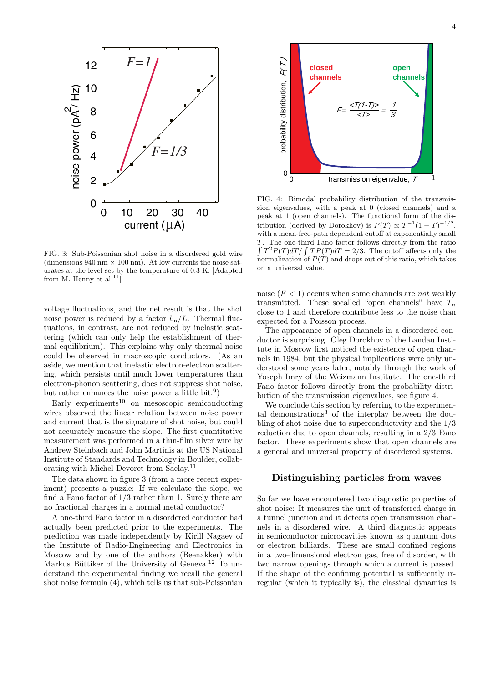

FIG. 3: Sub-Poissonian shot noise in a disordered gold wire (dimensions 940 nm  $\times$  100 nm). At low currents the noise saturates at the level set by the temperature of 0.3 K. [Adapted from M. Henny et al. $^{11}$ ]

voltage fluctuations, and the net result is that the shot noise power is reduced by a factor  $l_{in}/L$ . Thermal fluctuations, in contrast, are not reduced by inelastic scattering (which can only help the establishment of thermal equilibrium). This explains why only thermal noise could be observed in macroscopic conductors. (As an aside, we mention that inelastic electron-electron scattering, which persists until much lower temperatures than electron-phonon scattering, does not suppress shot noise, but rather enhances the noise power a little bit.<sup>9</sup>)

Early experiments<sup>10</sup> on mesoscopic semiconducting wires observed the linear relation between noise power and current that is the signature of shot noise, but could not accurately measure the slope. The first quantitative measurement was performed in a thin-film silver wire by Andrew Steinbach and John Martinis at the US National Institute of Standards and Technology in Boulder, collaborating with Michel Devoret from Saclay.<sup>11</sup>

The data shown in figure 3 (from a more recent experiment) presents a puzzle: If we calculate the slope, we find a Fano factor of 1/3 rather than 1. Surely there are no fractional charges in a normal metal conductor?

A one-third Fano factor in a disordered conductor had actually been predicted prior to the experiments. The prediction was made independently by Kirill Nagaev of the Institute of Radio-Engineering and Electronics in Moscow and by one of the authors (Beenakker) with Markus Büttiker of the University of Geneva.<sup>12</sup> To understand the experimental finding we recall the general shot noise formula (4), which tells us that sub-Poissonian



FIG. 4: Bimodal probability distribution of the transmission eigenvalues, with a peak at 0 (closed channels) and a peak at 1 (open channels). The functional form of the distribution (derived by Dorokhov) is  $P(T) \propto T^{-1}(1-T)^{-1/2}$ , with a mean-free-path dependent cutoff at exponentially small T. The one-third Fano factor follows directly from the ratio  $\int T^2 P(T) dT / \int T P(T) dT = 2/3$ . The cutoff affects only the normalization of  $P(T)$  and drops out of this ratio, which takes on a universal value.

noise  $(F < 1)$  occurs when some channels are *not* weakly transmitted. These socalled "open channels" have  $T_n$ close to 1 and therefore contribute less to the noise than expected for a Poisson process.

The appearance of open channels in a disordered conductor is surprising. Oleg Dorokhov of the Landau Institute in Moscow first noticed the existence of open channels in 1984, but the physical implications were only understood some years later, notably through the work of Yoseph Imry of the Weizmann Institute. The one-third Fano factor follows directly from the probability distribution of the transmission eigenvalues, see figure 4.

We conclude this section by referring to the experimental demonstrations<sup>3</sup> of the interplay between the doubling of shot noise due to superconductivity and the 1/3 reduction due to open channels, resulting in a 2/3 Fano factor. These experiments show that open channels are a general and universal property of disordered systems.

## Distinguishing particles from waves

So far we have encountered two diagnostic properties of shot noise: It measures the unit of transferred charge in a tunnel junction and it detects open transmission channels in a disordered wire. A third diagnostic appears in semiconductor microcavities known as quantum dots or electron billiards. These are small confined regions in a two-dimensional electron gas, free of disorder, with two narrow openings through which a current is passed. If the shape of the confining potential is sufficiently irregular (which it typically is), the classical dynamics is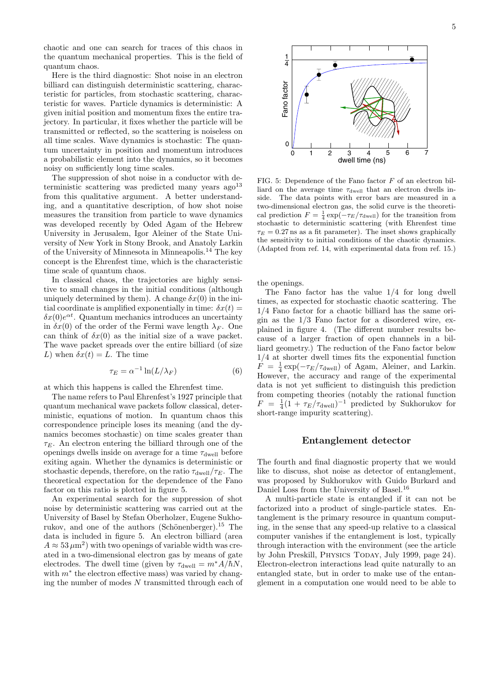chaotic and one can search for traces of this chaos in the quantum mechanical properties. This is the field of quantum chaos.

Here is the third diagnostic: Shot noise in an electron billiard can distinguish deterministic scattering, characteristic for particles, from stochastic scattering, characteristic for waves. Particle dynamics is deterministic: A given initial position and momentum fixes the entire trajectory. In particular, it fixes whether the particle will be transmitted or reflected, so the scattering is noiseless on all time scales. Wave dynamics is stochastic: The quantum uncertainty in position and momentum introduces a probabilistic element into the dynamics, so it becomes noisy on sufficiently long time scales.

The suppression of shot noise in a conductor with deterministic scattering was predicted many years  $ago^{13}$ from this qualitative argument. A better understanding, and a quantitative description, of how shot noise measures the transition from particle to wave dynamics was developed recently by Oded Agam of the Hebrew University in Jerusalem, Igor Aleiner of the State University of New York in Stony Brook, and Anatoly Larkin of the University of Minnesota in Minneapolis.<sup>14</sup> The key concept is the Ehrenfest time, which is the characteristic time scale of quantum chaos.

In classical chaos, the trajectories are highly sensitive to small changes in the initial conditions (although uniquely determined by them). A change  $\delta x(0)$  in the initial coordinate is amplified exponentially in time:  $\delta x(t) =$  $\delta x(0)e^{\alpha t}$ . Quantum mechanics introduces an uncertainty in  $\delta x(0)$  of the order of the Fermi wave length  $\lambda_F$ . One can think of  $\delta x(0)$  as the initial size of a wave packet. The wave packet spreads over the entire billiard (of size L) when  $\delta x(t) = L$ . The time

$$
\tau_E = \alpha^{-1} \ln(L/\lambda_F) \tag{6}
$$

at which this happens is called the Ehrenfest time.

The name refers to Paul Ehrenfest's 1927 principle that quantum mechanical wave packets follow classical, deterministic, equations of motion. In quantum chaos this correspondence principle loses its meaning (and the dynamics becomes stochastic) on time scales greater than  $\tau_E$ . An electron entering the billiard through one of the openings dwells inside on average for a time  $\tau_{\text{dwell}}$  before exiting again. Whether the dynamics is deterministic or stochastic depends, therefore, on the ratio  $\tau_{dwell}/\tau_E$ . The theoretical expectation for the dependence of the Fano factor on this ratio is plotted in figure 5.

An experimental search for the suppression of shot noise by deterministic scattering was carried out at the University of Basel by Stefan Oberholzer, Eugene Sukhorukov, and one of the authors (Schönenberger).<sup>15</sup> The data is included in figure 5. An electron billiard (area  $A \approx 53 \,\mu\text{m}^2$ ) with two openings of variable width was created in a two-dimensional electron gas by means of gate electrodes. The dwell time (given by  $\tau_{dwell} = m^* A/\hbar N$ , with  $m^*$  the electron effective mass) was varied by changing the number of modes  $N$  transmitted through each of



FIG. 5: Dependence of the Fano factor  $F$  of an electron billiard on the average time  $\tau_{dwell}$  that an electron dwells inside. The data points with error bars are measured in a two-dimensional electron gas, the solid curve is the theoretical prediction  $F = \frac{1}{4} \exp(-\tau_E/\tau_{\text{dwell}})$  for the transition from stochastic to deterministic scattering (with Ehrenfest time  $\tau_E = 0.27$  ns as a fit parameter). The inset shows graphically the sensitivity to initial conditions of the chaotic dynamics. (Adapted from ref. 14, with experimental data from ref. 15.)

the openings.

The Fano factor has the value 1/4 for long dwell times, as expected for stochastic chaotic scattering. The 1/4 Fano factor for a chaotic billiard has the same origin as the  $1/3$  Fano factor for a disordered wire, explained in figure 4. (The different number results because of a larger fraction of open channels in a billiard geometry.) The reduction of the Fano factor below 1/4 at shorter dwell times fits the exponential function  $F = \frac{1}{4} \exp(-\tau_E/\tau_{\text{dwell}})$  of Agam, Aleiner, and Larkin. However, the accuracy and range of the experimental data is not yet sufficient to distinguish this prediction from competing theories (notably the rational function  $F = \frac{1}{4}(1 + \tau_E/\tau_{\text{dwell}})^{-1}$  predicted by Sukhorukov for short-range impurity scattering).

#### Entanglement detector

The fourth and final diagnostic property that we would like to discuss, shot noise as detector of entanglement, was proposed by Sukhorukov with Guido Burkard and Daniel Loss from the University of Basel.<sup>16</sup>

A multi-particle state is entangled if it can not be factorized into a product of single-particle states. Entanglement is the primary resource in quantum computing, in the sense that any speed-up relative to a classical computer vanishes if the entanglement is lost, typically through interaction with the environment (see the article by John Preskill, PHYSICS TODAY, July 1999, page 24). Electron-electron interactions lead quite naturally to an entangled state, but in order to make use of the entanglement in a computation one would need to be able to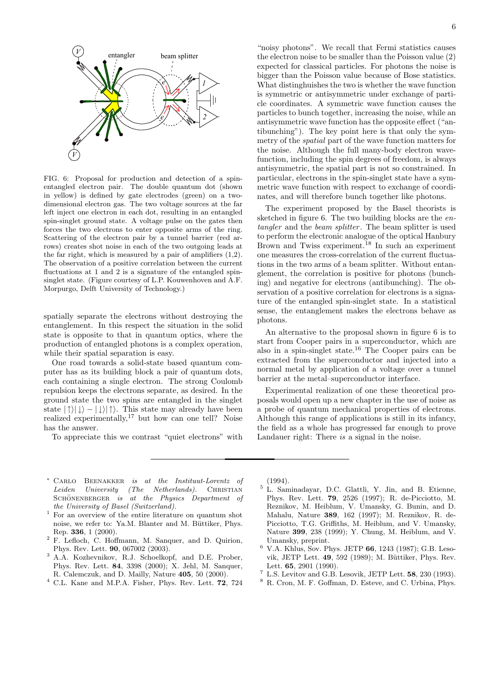

FIG. 6: Proposal for production and detection of a spinentangled electron pair. The double quantum dot (shown in yellow) is defined by gate electrodes (green) on a twodimensional electron gas. The two voltage sources at the far left inject one electron in each dot, resulting in an entangled spin-singlet ground state. A voltage pulse on the gates then forces the two electrons to enter opposite arms of the ring. Scattering of the electron pair by a tunnel barrier (red arrows) creates shot noise in each of the two outgoing leads at the far right, which is measured by a pair of amplifiers (1,2). The observation of a positive correlation between the current fluctuations at 1 and 2 is a signature of the entangled spinsinglet state. (Figure courtesy of L.P. Kouwenhoven and A.F. Morpurgo, Delft University of Technology.)

spatially separate the electrons without destroying the entanglement. In this respect the situation in the solid state is opposite to that in quantum optics, where the production of entangled photons is a complex operation, while their spatial separation is easy.

One road towards a solid-state based quantum computer has as its building block a pair of quantum dots, each containing a single electron. The strong Coulomb repulsion keeps the electrons separate, as desired. In the ground state the two spins are entangled in the singlet state  $|\uparrow\rangle|\downarrow\rangle - |\downarrow\rangle|\uparrow\rangle$ . This state may already have been realized experimentally, $17$  but how can one tell? Noise has the answer.

To appreciate this we contrast "quiet electrons" with

"noisy photons". We recall that Fermi statistics causes the electron noise to be smaller than the Poisson value (2) expected for classical particles. For photons the noise is bigger than the Poisson value because of Bose statistics. What distinghuishes the two is whether the wave function is symmetric or antisymmetric under exchange of particle coordinates. A symmetric wave function causes the particles to bunch together, increasing the noise, while an antisymmetric wave function has the opposite effect ("antibunching"). The key point here is that only the symmetry of the spatial part of the wave function matters for the noise. Although the full many-body electron wavefunction, including the spin degrees of freedom, is always antisymmetric, the spatial part is not so constrained. In particular, electrons in the spin-singlet state have a symmetric wave function with respect to exchange of coordinates, and will therefore bunch together like photons.

The experiment proposed by the Basel theorists is sketched in figure 6. The two building blocks are the entangler and the beam splitter. The beam splitter is used to perform the electronic analogue of the optical Hanbury Brown and Twiss experiment.<sup>18</sup> In such an experiment one measures the cross-correlation of the current fluctuations in the two arms of a beam splitter. Without entanglement, the correlation is positive for photons (bunching) and negative for electrons (antibunching). The observation of a positive correlation for electrons is a signature of the entangled spin-singlet state. In a statistical sense, the entanglement makes the electrons behave as photons.

An alternative to the proposal shown in figure 6 is to start from Cooper pairs in a superconductor, which are also in a spin-singlet state.<sup>16</sup> The Cooper pairs can be extracted from the superconductor and injected into a normal metal by application of a voltage over a tunnel barrier at the metal–superconductor interface.

Experimental realization of one these theoretical proposals would open up a new chapter in the use of noise as a probe of quantum mechanical properties of electrons. Although this range of applications is still in its infancy, the field as a whole has progressed far enough to prove Landauer right: There is a signal in the noise.

- <sup>∗</sup> Carlo Beenakker is at the Instituut-Lorentz of Leiden University (The Netherlands). CHRISTIAN SCHÖNENBERGER is at the Physics Department of the University of Basel (Switzerland).
- <sup>1</sup> For an overview of the entire literature on quantum shot noise, we refer to: Ya.M. Blanter and M. Büttiker, Phys. Rep. 336, 1 (2000).
- <sup>2</sup> F. Lefloch, C. Hoffmann, M. Sanquer, and D. Quirion, Phys. Rev. Lett. 90, 067002 (2003).
- <sup>3</sup> A.A. Kozhevnikov, R.J. Schoelkopf, and D.E. Prober, Phys. Rev. Lett. 84, 3398 (2000); X. Jehl, M. Sanquer, R. Calemczuk, and D. Mailly, Nature 405, 50 (2000).
- <sup>4</sup> C.L. Kane and M.P.A. Fisher, Phys. Rev. Lett. 72, 724

(1994).

- <sup>5</sup> L. Saminadayar, D.C. Glattli, Y. Jin, and B. Etienne, Phys. Rev. Lett. 79, 2526 (1997); R. de-Picciotto, M. Reznikov, M. Heiblum, V. Umansky, G. Bunin, and D. Mahalu, Nature 389, 162 (1997); M. Reznikov, R. de-Picciotto, T.G. Griffiths, M. Heiblum, and V. Umansky, Nature 399, 238 (1999); Y. Chung, M. Heiblum, and V. Umansky, preprint.
- <sup>6</sup> V.A. Khlus, Sov. Phys. JETP 66, 1243 (1987); G.B. Lesovik, JETP Lett. 49, 592 (1989); M. Büttiker, Phys. Rev. Lett. 65, 2901 (1990).
- L.S. Levitov and G.B. Lesovik, JETP Lett. 58, 230 (1993).
- <sup>8</sup> R. Cron, M. F. Goffman, D. Esteve, and C. Urbina, Phys.